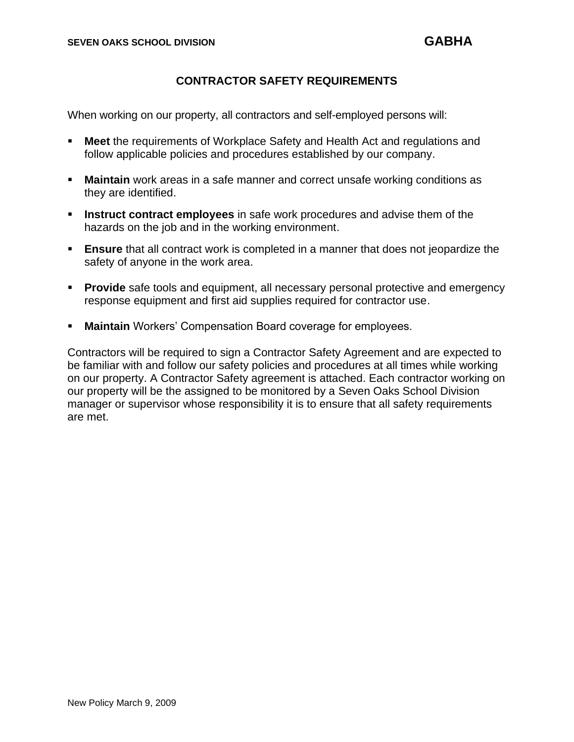## **CONTRACTOR SAFETY REQUIREMENTS**

When working on our property, all contractors and self-employed persons will:

- **Meet** the requirements of Workplace Safety and Health Act and regulations and follow applicable policies and procedures established by our company.
- **Maintain** work areas in a safe manner and correct unsafe working conditions as they are identified.
- **EXED** Instruct contract employees in safe work procedures and advise them of the hazards on the job and in the working environment.
- **Ensure** that all contract work is completed in a manner that does not jeopardize the safety of anyone in the work area.
- **Provide** safe tools and equipment, all necessary personal protective and emergency response equipment and first aid supplies required for contractor use.
- **Maintain** Workers' Compensation Board coverage for employees.

Contractors will be required to sign a Contractor Safety Agreement and are expected to be familiar with and follow our safety policies and procedures at all times while working on our property. A Contractor Safety agreement is attached. Each contractor working on our property will be the assigned to be monitored by a Seven Oaks School Division manager or supervisor whose responsibility it is to ensure that all safety requirements are met.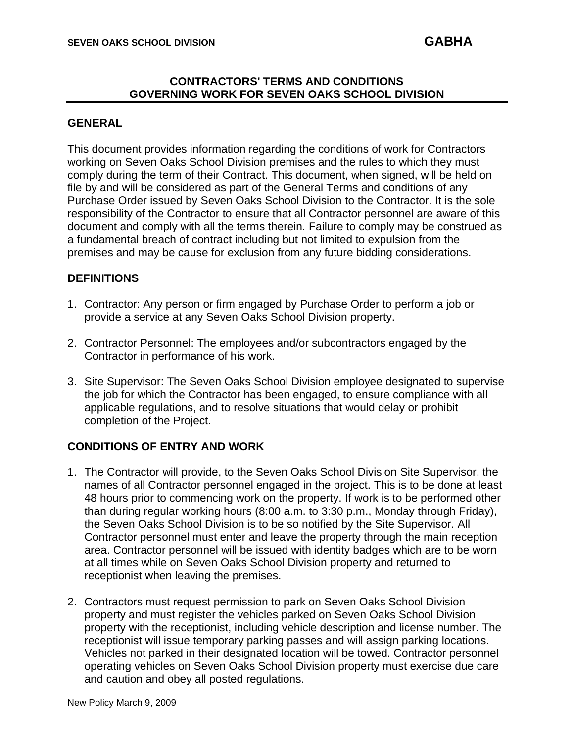### **CONTRACTORS' TERMS AND CONDITIONS GOVERNING WORK FOR SEVEN OAKS SCHOOL DIVISION**

### **GENERAL**

This document provides information regarding the conditions of work for Contractors working on Seven Oaks School Division premises and the rules to which they must comply during the term of their Contract. This document, when signed, will be held on file by and will be considered as part of the General Terms and conditions of any Purchase Order issued by Seven Oaks School Division to the Contractor. It is the sole responsibility of the Contractor to ensure that all Contractor personnel are aware of this document and comply with all the terms therein. Failure to comply may be construed as a fundamental breach of contract including but not limited to expulsion from the premises and may be cause for exclusion from any future bidding considerations.

## **DEFINITIONS**

- 1. Contractor: Any person or firm engaged by Purchase Order to perform a job or provide a service at any Seven Oaks School Division property.
- 2. Contractor Personnel: The employees and/or subcontractors engaged by the Contractor in performance of his work.
- 3. Site Supervisor: The Seven Oaks School Division employee designated to supervise the job for which the Contractor has been engaged, to ensure compliance with all applicable regulations, and to resolve situations that would delay or prohibit completion of the Project.

# **CONDITIONS OF ENTRY AND WORK**

- 1. The Contractor will provide, to the Seven Oaks School Division Site Supervisor, the names of all Contractor personnel engaged in the project. This is to be done at least 48 hours prior to commencing work on the property. If work is to be performed other than during regular working hours (8:00 a.m. to 3:30 p.m., Monday through Friday), the Seven Oaks School Division is to be so notified by the Site Supervisor. All Contractor personnel must enter and leave the property through the main reception area. Contractor personnel will be issued with identity badges which are to be worn at all times while on Seven Oaks School Division property and returned to receptionist when leaving the premises.
- 2. Contractors must request permission to park on Seven Oaks School Division property and must register the vehicles parked on Seven Oaks School Division property with the receptionist, including vehicle description and license number. The receptionist will issue temporary parking passes and will assign parking locations. Vehicles not parked in their designated location will be towed. Contractor personnel operating vehicles on Seven Oaks School Division property must exercise due care and caution and obey all posted regulations.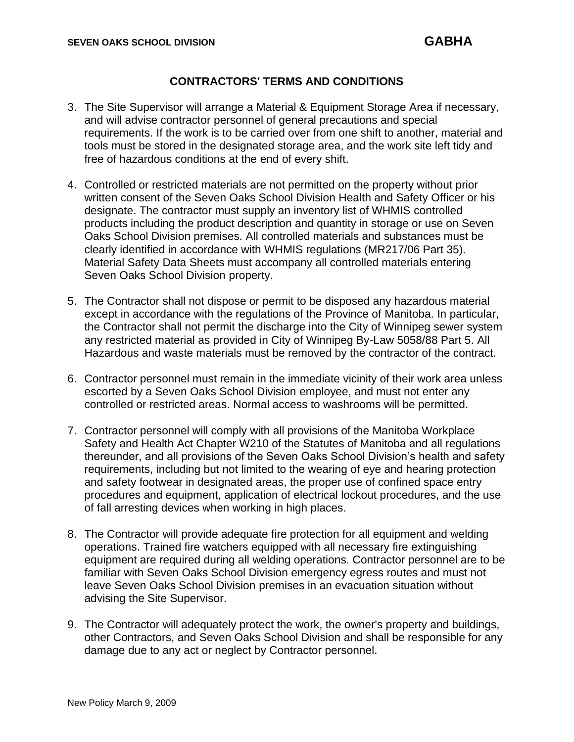## **CONTRACTORS' TERMS AND CONDITIONS**

- 3. The Site Supervisor will arrange a Material & Equipment Storage Area if necessary, and will advise contractor personnel of general precautions and special requirements. If the work is to be carried over from one shift to another, material and tools must be stored in the designated storage area, and the work site left tidy and free of hazardous conditions at the end of every shift.
- 4. Controlled or restricted materials are not permitted on the property without prior written consent of the Seven Oaks School Division Health and Safety Officer or his designate. The contractor must supply an inventory list of WHMIS controlled products including the product description and quantity in storage or use on Seven Oaks School Division premises. All controlled materials and substances must be clearly identified in accordance with WHMIS regulations (MR217/06 Part 35). Material Safety Data Sheets must accompany all controlled materials entering Seven Oaks School Division property.
- 5. The Contractor shall not dispose or permit to be disposed any hazardous material except in accordance with the regulations of the Province of Manitoba. In particular, the Contractor shall not permit the discharge into the City of Winnipeg sewer system any restricted material as provided in City of Winnipeg By-Law 5058/88 Part 5. All Hazardous and waste materials must be removed by the contractor of the contract.
- 6. Contractor personnel must remain in the immediate vicinity of their work area unless escorted by a Seven Oaks School Division employee, and must not enter any controlled or restricted areas. Normal access to washrooms will be permitted.
- 7. Contractor personnel will comply with all provisions of the Manitoba Workplace Safety and Health Act Chapter W210 of the Statutes of Manitoba and all regulations thereunder, and all provisions of the Seven Oaks School Division's health and safety requirements, including but not limited to the wearing of eye and hearing protection and safety footwear in designated areas, the proper use of confined space entry procedures and equipment, application of electrical lockout procedures, and the use of fall arresting devices when working in high places.
- 8. The Contractor will provide adequate fire protection for all equipment and welding operations. Trained fire watchers equipped with all necessary fire extinguishing equipment are required during all welding operations. Contractor personnel are to be familiar with Seven Oaks School Division emergency egress routes and must not leave Seven Oaks School Division premises in an evacuation situation without advising the Site Supervisor.
- 9. The Contractor will adequately protect the work, the owner's property and buildings, other Contractors, and Seven Oaks School Division and shall be responsible for any damage due to any act or neglect by Contractor personnel.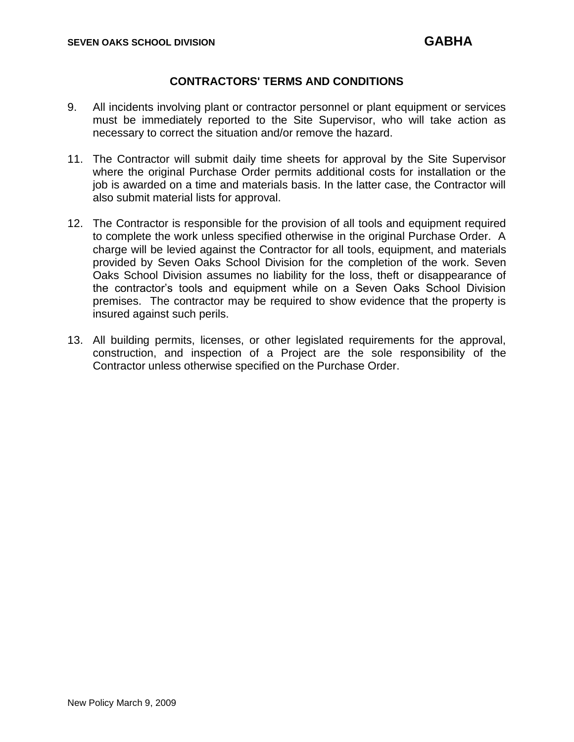### **CONTRACTORS' TERMS AND CONDITIONS**

- 9. All incidents involving plant or contractor personnel or plant equipment or services must be immediately reported to the Site Supervisor, who will take action as necessary to correct the situation and/or remove the hazard.
- 11. The Contractor will submit daily time sheets for approval by the Site Supervisor where the original Purchase Order permits additional costs for installation or the job is awarded on a time and materials basis. In the latter case, the Contractor will also submit material lists for approval.
- 12. The Contractor is responsible for the provision of all tools and equipment required to complete the work unless specified otherwise in the original Purchase Order. A charge will be levied against the Contractor for all tools, equipment, and materials provided by Seven Oaks School Division for the completion of the work. Seven Oaks School Division assumes no liability for the loss, theft or disappearance of the contractor's tools and equipment while on a Seven Oaks School Division premises. The contractor may be required to show evidence that the property is insured against such perils.
- 13. All building permits, licenses, or other legislated requirements for the approval, construction, and inspection of a Project are the sole responsibility of the Contractor unless otherwise specified on the Purchase Order.